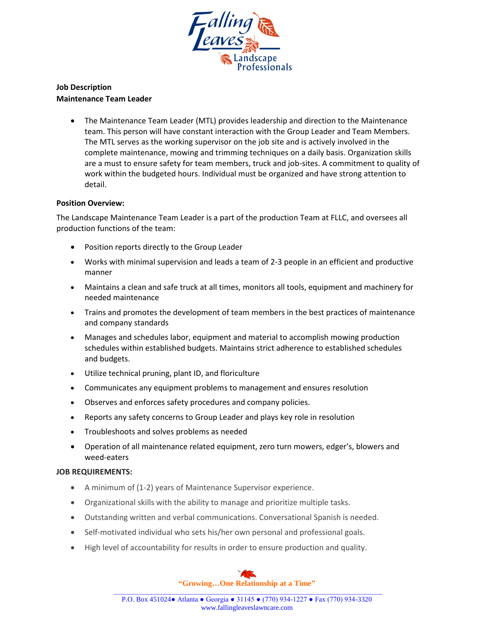

## **Job Description Maintenance Team Leader**

 The Maintenance Team Leader (MTL) provides leadership and direction to the Maintenance team. This person will have constant interaction with the Group Leader and Team Members. The MTL serves as the working supervisor on the job site and is actively involved in the complete maintenance, mowing and trimming techniques on a daily basis. Organization skills are a must to ensure safety for team members, truck and job-sites. A commitment to quality of work within the budgeted hours. Individual must be organized and have strong attention to detail.

## **Position Overview:**

The Landscape Maintenance Team Leader is a part of the production Team at FLLC, and oversees all production functions of the team:

- Position reports directly to the Group Leader
- Works with minimal supervision and leads a team of 2-3 people in an efficient and productive manner
- Maintains a clean and safe truck at all times, monitors all tools, equipment and machinery for needed maintenance
- Trains and promotes the development of team members in the best practices of maintenance and company standards
- Manages and schedules labor, equipment and material to accomplish mowing production schedules within established budgets. Maintains strict adherence to established schedules and budgets.
- Utilize technical pruning, plant ID, and floriculture
- Communicates any equipment problems to management and ensures resolution
- Observes and enforces safety procedures and company policies.
- Reports any safety concerns to Group Leader and plays key role in resolution
- Troubleshoots and solves problems as needed
- Operation of all maintenance related equipment, zero turn mowers, edger's, blowers and weed-eaters

## **JOB REQUIREMENTS:**

- A minimum of (1-2) years of Maintenance Supervisor experience.
- Organizational skills with the ability to manage and prioritize multiple tasks.
- Outstanding written and verbal communications. Conversational Spanish is needed.
- Self-motivated individual who sets his/her own personal and professional goals.
- High level of accountability for results in order to ensure production and quality.